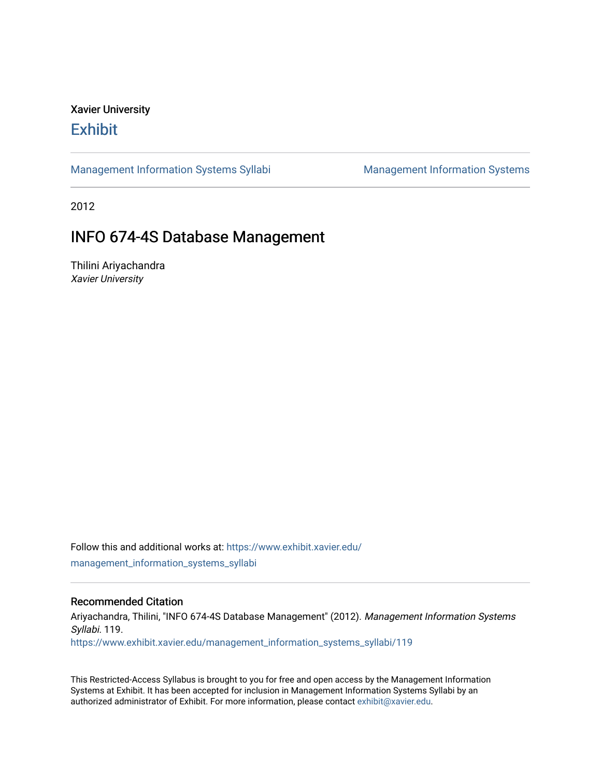## Xavier University **Exhibit**

[Management Information Systems Syllabi](https://www.exhibit.xavier.edu/management_information_systems_syllabi) Management Information Systems

2012

# INFO 674-4S Database Management

Thilini Ariyachandra Xavier University

Follow this and additional works at: [https://www.exhibit.xavier.edu/](https://www.exhibit.xavier.edu/management_information_systems_syllabi?utm_source=www.exhibit.xavier.edu%2Fmanagement_information_systems_syllabi%2F119&utm_medium=PDF&utm_campaign=PDFCoverPages) [management\\_information\\_systems\\_syllabi](https://www.exhibit.xavier.edu/management_information_systems_syllabi?utm_source=www.exhibit.xavier.edu%2Fmanagement_information_systems_syllabi%2F119&utm_medium=PDF&utm_campaign=PDFCoverPages) 

## Recommended Citation

Ariyachandra, Thilini, "INFO 674-4S Database Management" (2012). Management Information Systems Syllabi. 119. [https://www.exhibit.xavier.edu/management\\_information\\_systems\\_syllabi/119](https://www.exhibit.xavier.edu/management_information_systems_syllabi/119?utm_source=www.exhibit.xavier.edu%2Fmanagement_information_systems_syllabi%2F119&utm_medium=PDF&utm_campaign=PDFCoverPages) 

This Restricted-Access Syllabus is brought to you for free and open access by the Management Information Systems at Exhibit. It has been accepted for inclusion in Management Information Systems Syllabi by an authorized administrator of Exhibit. For more information, please contact [exhibit@xavier.edu](mailto:exhibit@xavier.edu).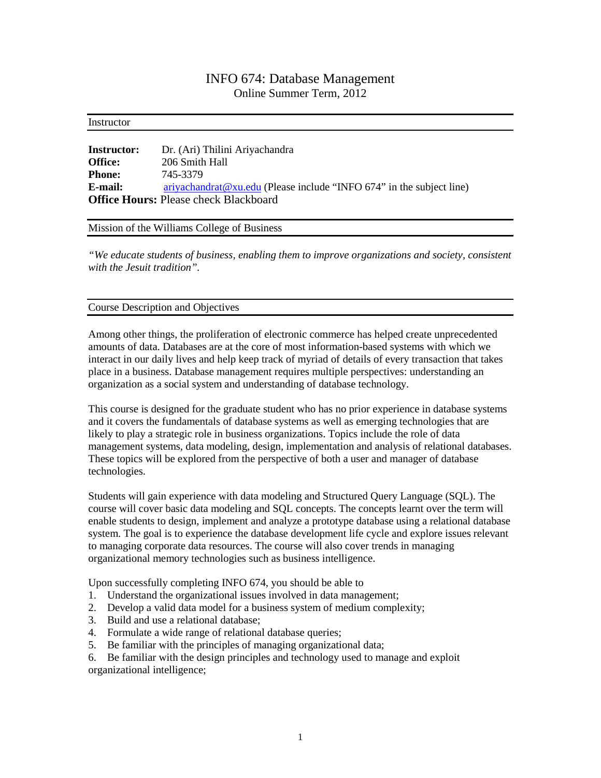## INFO 674: Database Management Online Summer Term, 2012

#### **Instructor**

| <b>Instructor:</b>                           | Dr. (Ari) Thilini Ariyachandra                                         |  |  |  |
|----------------------------------------------|------------------------------------------------------------------------|--|--|--|
| <b>Office:</b>                               | 206 Smith Hall                                                         |  |  |  |
| <b>Phone:</b>                                | 745-3379                                                               |  |  |  |
| E-mail:                                      | $ariyachandrat@xu.edu$ (Please include "INFO 674" in the subject line) |  |  |  |
| <b>Office Hours: Please check Blackboard</b> |                                                                        |  |  |  |

Mission of the Williams College of Business

*"We educate students of business, enabling them to improve organizations and society, consistent with the Jesuit tradition".*

## Course Description and Objectives

Among other things, the proliferation of electronic commerce has helped create unprecedented amounts of data. Databases are at the core of most information-based systems with which we interact in our daily lives and help keep track of myriad of details of every transaction that takes place in a business. Database management requires multiple perspectives: understanding an organization as a social system and understanding of database technology.

This course is designed for the graduate student who has no prior experience in database systems and it covers the fundamentals of database systems as well as emerging technologies that are likely to play a strategic role in business organizations. Topics include the role of data management systems, data modeling, design, implementation and analysis of relational databases. These topics will be explored from the perspective of both a user and manager of database technologies.

Students will gain experience with data modeling and Structured Query Language (SQL). The course will cover basic data modeling and SQL concepts. The concepts learnt over the term will enable students to design, implement and analyze a prototype database using a relational database system. The goal is to experience the database development life cycle and explore issues relevant to managing corporate data resources. The course will also cover trends in managing organizational memory technologies such as business intelligence.

Upon successfully completing INFO 674, you should be able to

- 1. Understand the organizational issues involved in data management;
- 2. Develop a valid data model for a business system of medium complexity;
- 3. Build and use a relational database;
- 4. Formulate a wide range of relational database queries;
- 5. Be familiar with the principles of managing organizational data;
- 6. Be familiar with the design principles and technology used to manage and exploit organizational intelligence;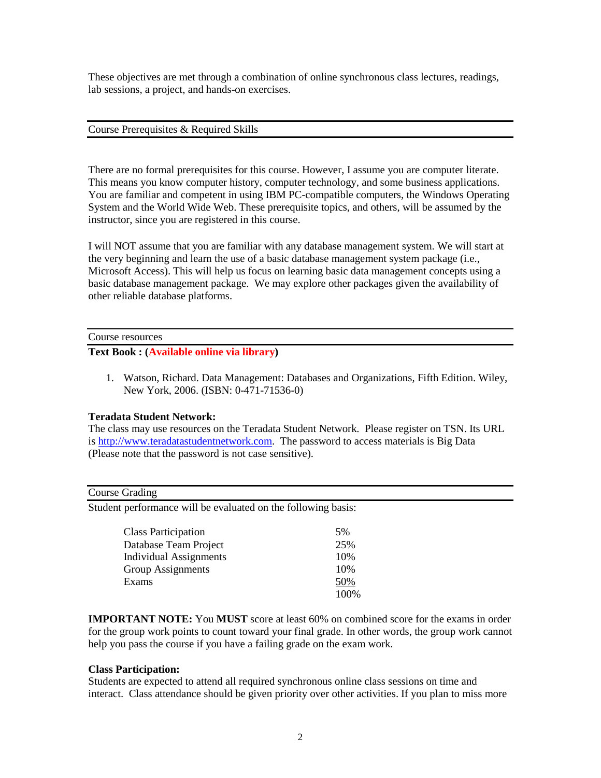These objectives are met through a combination of online synchronous class lectures, readings, lab sessions, a project, and hands-on exercises.

## Course Prerequisites & Required Skills

There are no formal prerequisites for this course. However, I assume you are computer literate. This means you know computer history, computer technology, and some business applications. You are familiar and competent in using IBM PC-compatible computers, the Windows Operating System and the World Wide Web. These prerequisite topics, and others, will be assumed by the instructor, since you are registered in this course.

I will NOT assume that you are familiar with any database management system. We will start at the very beginning and learn the use of a basic database management system package (i.e., Microsoft Access). This will help us focus on learning basic data management concepts using a basic database management package. We may explore other packages given the availability of other reliable database platforms.

#### Course resources

## **Text Book : (Available online via library)**

1. Watson, Richard. Data Management: Databases and Organizations, Fifth Edition. Wiley, New York, 2006. (ISBN: 0-471-71536-0)

## **Teradata Student Network:**

The class may use resources on the Teradata Student Network. Please register on TSN. Its URL is [http://www.teradatastudentnetwork.com.](http://www.teradatastudentnetwork.com/) The password to access materials is Big Data (Please note that the password is not case sensitive).

#### Course Grading

Student performance will be evaluated on the following basis:

| <b>Class Participation</b>    | 5%    |
|-------------------------------|-------|
| Database Team Project         | 25%   |
| <b>Individual Assignments</b> | 10%   |
| Group Assignments             | 10%   |
| Exams                         | 50%   |
|                               | 100\% |
|                               |       |

**IMPORTANT NOTE:** You **MUST** score at least 60% on combined score for the exams in order for the group work points to count toward your final grade. In other words, the group work cannot help you pass the course if you have a failing grade on the exam work.

#### **Class Participation:**

Students are expected to attend all required synchronous online class sessions on time and interact. Class attendance should be given priority over other activities. If you plan to miss more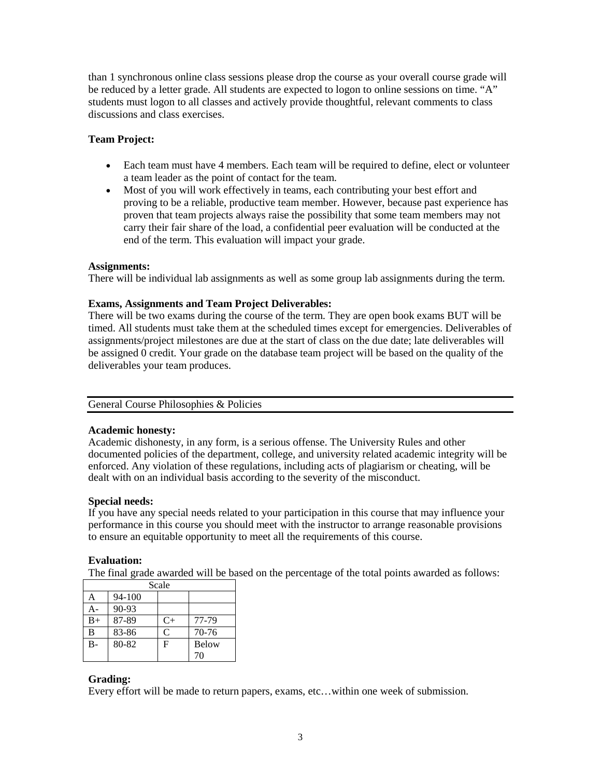than 1 synchronous online class sessions please drop the course as your overall course grade will be reduced by a letter grade. All students are expected to logon to online sessions on time. "A" students must logon to all classes and actively provide thoughtful, relevant comments to class discussions and class exercises.

## **Team Project:**

- Each team must have 4 members. Each team will be required to define, elect or volunteer a team leader as the point of contact for the team.
- Most of you will work effectively in teams, each contributing your best effort and proving to be a reliable, productive team member. However, because past experience has proven that team projects always raise the possibility that some team members may not carry their fair share of the load, a confidential peer evaluation will be conducted at the end of the term. This evaluation will impact your grade.

## **Assignments:**

There will be individual lab assignments as well as some group lab assignments during the term.

## **Exams, Assignments and Team Project Deliverables:**

There will be two exams during the course of the term. They are open book exams BUT will be timed. All students must take them at the scheduled times except for emergencies. Deliverables of assignments/project milestones are due at the start of class on the due date; late deliverables will be assigned 0 credit. Your grade on the database team project will be based on the quality of the deliverables your team produces.

General Course Philosophies & Policies

## **Academic honesty:**

Academic dishonesty, in any form, is a serious offense. The University Rules and other documented policies of the department, college, and university related academic integrity will be enforced. Any violation of these regulations, including acts of plagiarism or cheating, will be dealt with on an individual basis according to the severity of the misconduct.

## **Special needs:**

If you have any special needs related to your participation in this course that may influence your performance in this course you should meet with the instructor to arrange reasonable provisions to ensure an equitable opportunity to meet all the requirements of this course.

## **Evaluation:**

The final grade awarded will be based on the percentage of the total points awarded as follows:

| Scale |           |      |       |  |  |
|-------|-----------|------|-------|--|--|
| A     | 94-100    |      |       |  |  |
| А-    | $90 - 93$ |      |       |  |  |
| $B+$  | 87-89     | $C+$ | 77-79 |  |  |
| В     | 83-86     | C    | 70-76 |  |  |
| B-    | 80-82     | F    | Below |  |  |
|       |           |      | 70    |  |  |

## **Grading:**

Every effort will be made to return papers, exams, etc…within one week of submission.